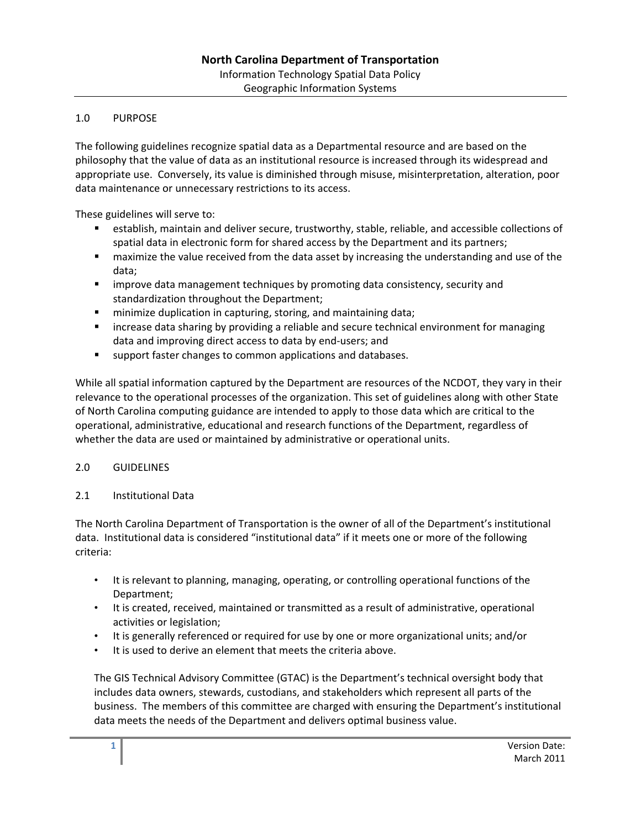# 1.0 PURPOSE

The following guidelines recognize spatial data as a Departmental resource and are based on the philosophy that the value of data as an institutional resource is increased through its widespread and appropriate use. Conversely, its value is diminished through misuse, misinterpretation, alteration, poor data maintenance or unnecessary restrictions to its access.

These guidelines will serve to:

- establish, maintain and deliver secure, trustworthy, stable, reliable, and accessible collections of spatial data in electronic form for shared access by the Department and its partners;
- maximize the value received from the data asset by increasing the understanding and use of the data;
- improve data management techniques by promoting data consistency, security and standardization throughout the Department;
- **F** minimize duplication in capturing, storing, and maintaining data;
- **EXED 10** increase data sharing by providing a reliable and secure technical environment for managing data and improving direct access to data by end‐users; and
- support faster changes to common applications and databases.

While all spatial information captured by the Department are resources of the NCDOT, they vary in their relevance to the operational processes of the organization. This set of guidelines along with other State of North Carolina computing guidance are intended to apply to those data which are critical to the operational, administrative, educational and research functions of the Department, regardless of whether the data are used or maintained by administrative or operational units.

# 2.0 GUIDELINES

# 2.1 Institutional Data

The North Carolina Department of Transportation is the owner of all of the Department's institutional data. Institutional data is considered "institutional data" if it meets one or more of the following criteria:

- It is relevant to planning, managing, operating, or controlling operational functions of the Department;
- It is created, received, maintained or transmitted as a result of administrative, operational activities or legislation;
- It is generally referenced or required for use by one or more organizational units; and/or
- It is used to derive an element that meets the criteria above.

The GIS Technical Advisory Committee (GTAC) is the Department's technical oversight body that includes data owners, stewards, custodians, and stakeholders which represent all parts of the business. The members of this committee are charged with ensuring the Department's institutional data meets the needs of the Department and delivers optimal business value.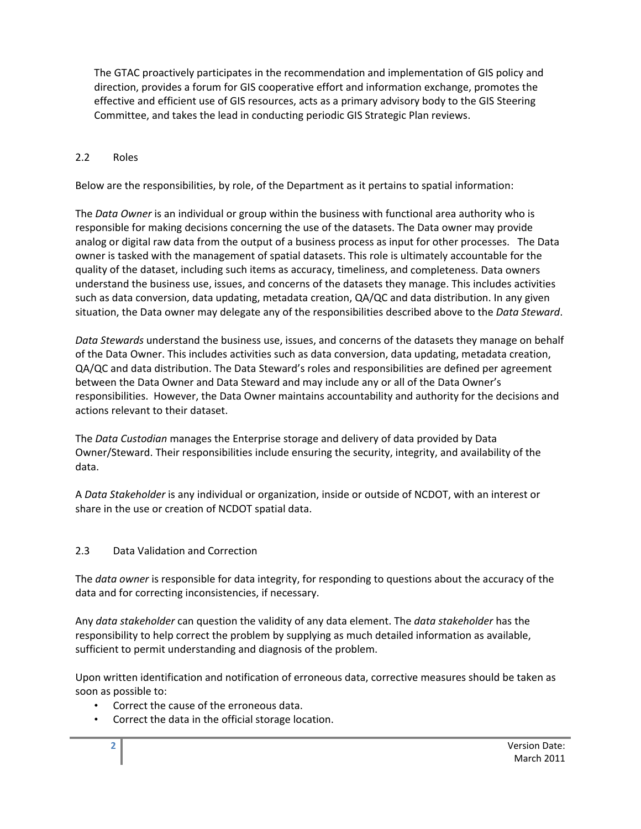The GTAC proactively participates in the recommendation and implementation of GIS policy and direction, provides a forum for GIS cooperative effort and information exchange, promotes the effective and efficient use of GIS resources, acts as a primary advisory body to the GIS Steering Committee, and takes the lead in conducting periodic GIS Strategic Plan reviews.

### 2.2 Roles

Below are the responsibilities, by role, of the Department as it pertains to spatial information:

The *Data Owner* is an individual or group within the business with functional area authority who is responsible for making decisions concerning the use of the datasets. The Data owner may provide analog or digital raw data from the output of a business process as input for other processes. The Data owner is tasked with the management of spatial datasets. This role is ultimately accountable for the quality of the dataset, including such items as accuracy, timeliness, and completeness. Data owners understand the business use, issues, and concerns of the datasets they manage. This includes activities such as data conversion, data updating, metadata creation, QA/QC and data distribution. In any given situation, the Data owner may delegate any of the responsibilities described above to the *Data Steward*.

*Data Stewards* understand the business use, issues, and concerns of the datasets they manage on behalf of the Data Owner. This includes activities such as data conversion, data updating, metadata creation, QA/QC and data distribution. The Data Steward's roles and responsibilities are defined per agreement between the Data Owner and Data Steward and may include any or all of the Data Owner's responsibilities. However, the Data Owner maintains accountability and authority for the decisions and actions relevant to their dataset.

The *Data Custodian* manages the Enterprise storage and delivery of data provided by Data Owner/Steward. Their responsibilities include ensuring the security, integrity, and availability of the data.

A *Data Stakeholder* is any individual or organization, inside or outside of NCDOT, with an interest or share in the use or creation of NCDOT spatial data.

# 2.3 Data Validation and Correction

The *data owner* is responsible for data integrity, for responding to questions about the accuracy of the data and for correcting inconsistencies, if necessary.

Any *data stakeholder* can question the validity of any data element. The *data stakeholder* has the responsibility to help correct the problem by supplying as much detailed information as available, sufficient to permit understanding and diagnosis of the problem.

Upon written identification and notification of erroneous data, corrective measures should be taken as soon as possible to:

- Correct the cause of the erroneous data.
- Correct the data in the official storage location.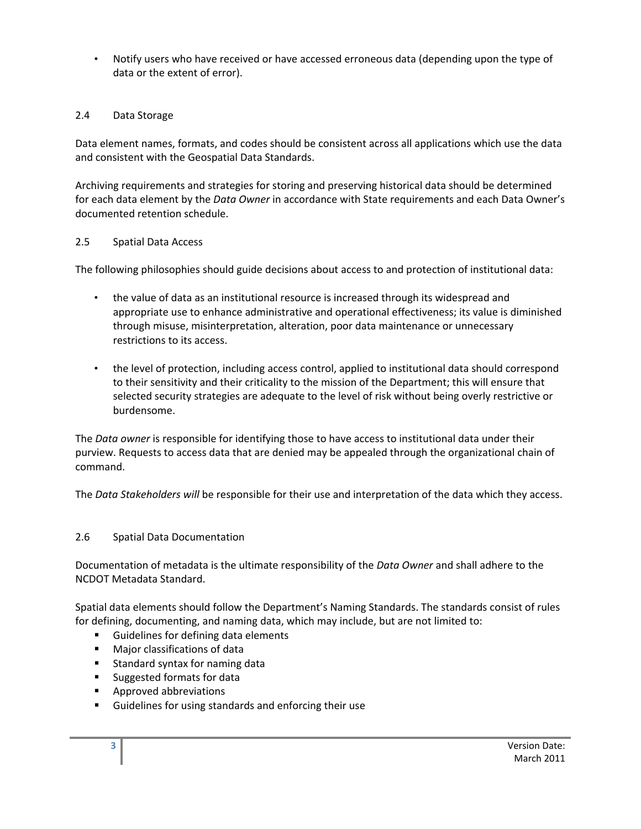• Notify users who have received or have accessed erroneous data (depending upon the type of data or the extent of error).

## 2.4 Data Storage

Data element names, formats, and codes should be consistent across all applications which use the data and consistent with the Geospatial Data Standards.

Archiving requirements and strategies for storing and preserving historical data should be determined for each data element by the *Data Owner* in accordance with State requirements and each Data Owner's documented retention schedule.

### 2.5 Spatial Data Access

The following philosophies should guide decisions about access to and protection of institutional data:

- the value of data as an institutional resource is increased through its widespread and appropriate use to enhance administrative and operational effectiveness; its value is diminished through misuse, misinterpretation, alteration, poor data maintenance or unnecessary restrictions to its access.
- the level of protection, including access control, applied to institutional data should correspond to their sensitivity and their criticality to the mission of the Department; this will ensure that selected security strategies are adequate to the level of risk without being overly restrictive or burdensome.

The *Data owner* is responsible for identifying those to have access to institutional data under their purview. Requests to access data that are denied may be appealed through the organizational chain of command.

The *Data Stakeholders will* be responsible for their use and interpretation of the data which they access.

### 2.6 Spatial Data Documentation

Documentation of metadata is the ultimate responsibility of the *Data Owner* and shall adhere to the NCDOT Metadata Standard.

Spatial data elements should follow the Department's Naming Standards. The standards consist of rules for defining, documenting, and naming data, which may include, but are not limited to:

- **Guidelines for defining data elements**
- **Major classifications of data**
- **Standard syntax for naming data**
- Suggested formats for data
- **Approved abbreviations**
- Guidelines for using standards and enforcing their use